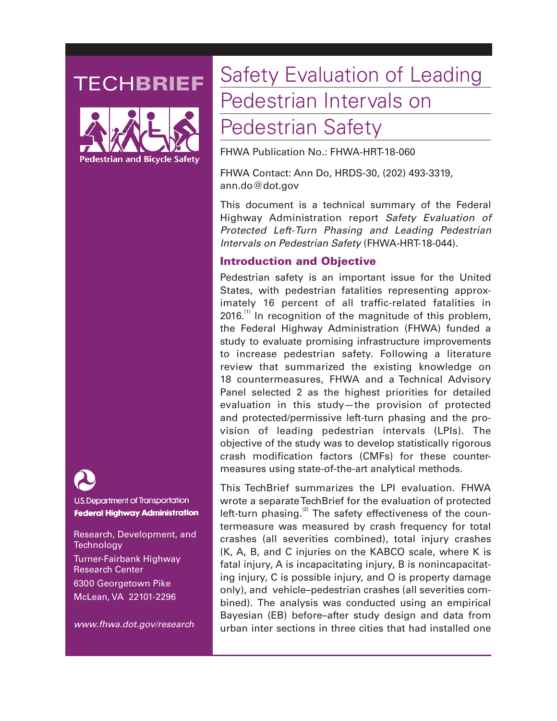## **TECHBRIEF**





U.S. Department of Transportation **Federal Highway Administration** 

Research, Development, and **Technology** Turner-Fairbank Highway Research Center 6300 Georgetown Pike McLean, VA 22101-2296

*www.fhwa.dot.gov/research* 

# Safety Evaluation of Leading Pedestrian Intervals on

### Pedestrian Safety

FHWA Publication No.: FHWA-HRT-18-060

FHWA Contact: Ann Do, HRDS-30, (202) 493-3319, ann.do@dot.gov

This document is a technical summary of the Federal Highway Administration report *Safety Evaluation of Protected Left-Turn Phasing and Leading Pedestrian Intervals on Pedestrian Safety* (FHWA-HRT-18-044).

#### Introduction and Objective

Pedestrian safety is an important issue for the United States, with pedestrian fatalities representing approximately 16 percent of all traffic-related fatalities in  $2016$ .<sup>(1)</sup> In recognition of the magnitude of this problem, the Federal Highway Administration (FHWA) funded a study to evaluate promising infrastructure improvements to increase pedestrian safety. Following a literature review that summarized the existing knowledge on 18 countermeasures, FHWA and a Technical Advisory Panel selected 2 as the highest priorities for detailed evaluation in this study—the provision of protected and protected/permissive left-turn phasing and the provision of leading pedestrian intervals (LPIs). The objective of the study was to develop statistically rigorous crash modification factors (CMFs) for these countermeasures using state-of-the-art analytical methods.

This TechBrief summarizes the LPI evaluation. FHWA wrote a separate TechBrief for the evaluation of protected left-turn phasing. $(2)$  The safety effectiveness of the countermeasure was measured by crash frequency for total crashes (all severities combined), total injury crashes (K, A, B, and C injuries on the KABCO scale, where K is fatal injury, A is incapacitating injury, B is nonincapacitating injury, C is possible injury, and O is property damage only), and vehicle–pedestrian crashes (all severities combined). The analysis was conducted using an empirical Bayesian (EB) before–after study design and data from urban inter sections in three cities that had installed one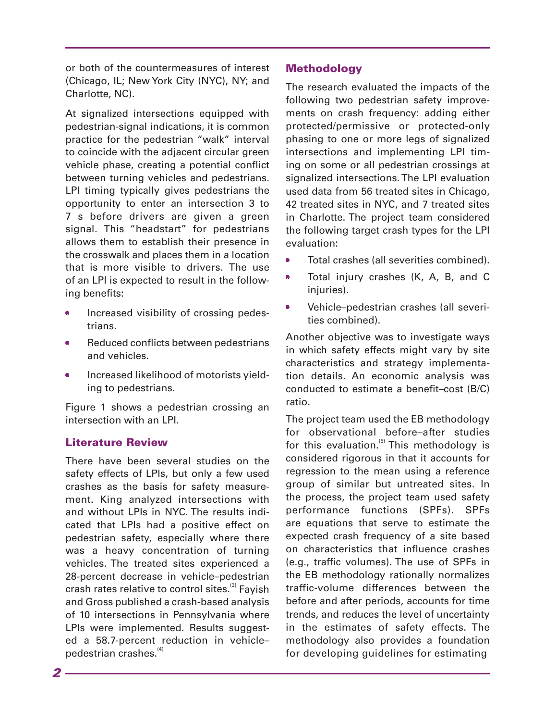or both of the countermeasures of interest (Chicago, IL; New York City (NYC), NY; and Charlotte, NC).

At signalized intersections equipped with pedestrian-signal indications, it is common practice for the pedestrian "walk" interval to coincide with the adjacent circular green vehicle phase, creating a potential conflict between turning vehicles and pedestrians. LPI timing typically gives pedestrians the opportunity to enter an intersection 3 to 7 s before drivers are given a green signal. This "headstart" for pedestrians allows them to establish their presence in the crosswalk and places them in a location that is more visible to drivers. The use of an LPI is expected to result in the following benefits:

- Increased visibility of crossing pedestrians.
- Reduced conflicts between pedestrians and vehicles.
- Increased likelihood of motorists yielding to pedestrians.

Figure 1 shows a pedestrian crossing an intersection with an LPI.

#### Literature Review

 vehicles. The treated sites experienced a There have been several studies on the safety effects of LPIs, but only a few used crashes as the basis for safety measurement. King analyzed intersections with and without LPIs in NYC. The results indicated that LPIs had a positive effect on pedestrian safety, especially where there was a heavy concentration of turning 28-percent decrease in vehicle–pedestrian crash rates relative to control sites.<sup>(3)</sup> Fayish and Gross published a crash-based analysis of 10 intersections in Pennsylvania where LPIs were implemented. Results suggested a 58.7-percent reduction in vehicle– pedestrian crashes.<sup>(4)</sup>

#### Methodology

The research evaluated the impacts of the following two pedestrian safety improvements on crash frequency: adding either protected/permissive or protected-only phasing to one or more legs of signalized intersections and implementing LPI timing on some or all pedestrian crossings at signalized intersections. The LPI evaluation used data from 56 treated sites in Chicago, 42 treated sites in NYC, and 7 treated sites in Charlotte. The project team considered the following target crash types for the LPI evaluation:

- 0 • Total crashes (all severities combined).
- • Total injury crashes (K, A, B, and C  $\bullet$ injuries).
- 0 • Vehicle–pedestrian crashes (all severities combined).

Another objective was to investigate ways in which safety effects might vary by site characteristics and strategy implementation details. An economic analysis was conducted to estimate a benefit–cost (B/C) ratio.

The project team used the EB methodology for observational before–after studies for this evaluation. $(5)$  This methodology is considered rigorous in that it accounts for regression to the mean using a reference group of similar but untreated sites. In the process, the project team used safety performance functions (SPFs). SPFs are equations that serve to estimate the expected crash frequency of a site based on characteristics that influence crashes (e.g., traffic volumes). The use of SPFs in the EB methodology rationally normalizes traffic-volume differences between the before and after periods, accounts for time trends, and reduces the level of uncertainty in the estimates of safety effects. The methodology also provides a foundation for developing guidelines for estimating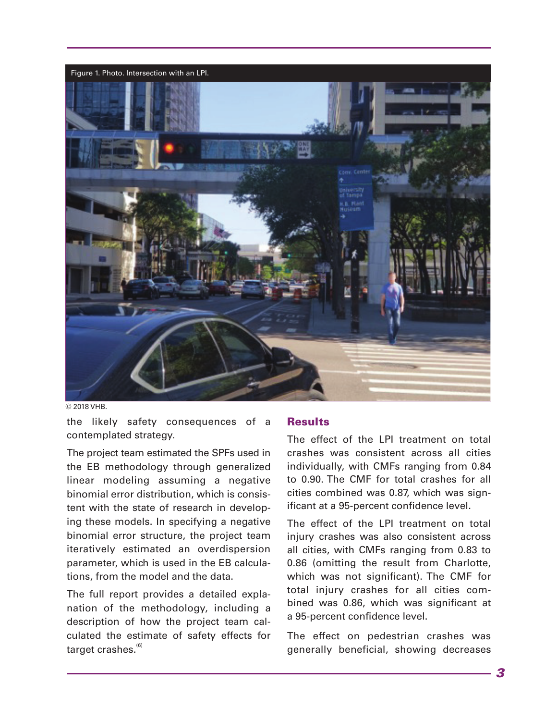

© 2018 VHB.

the likely safety consequences of a contemplated strategy.

The project team estimated the SPFs used in the EB methodology through generalized linear modeling assuming a negative binomial error distribution, which is consistent with the state of research in developing these models. In specifying a negative binomial error structure, the project team iteratively estimated an overdispersion parameter, which is used in the EB calculations, from the model and the data.

The full report provides a detailed explanation of the methodology, including a description of how the project team calculated the estimate of safety effects for target crashes. $<sup>(6)</sup>$ </sup>

#### **Results**

The effect of the LPI treatment on total crashes was consistent across all cities individually, with CMFs ranging from 0.84 to 0.90. The CMF for total crashes for all cities combined was 0.87, which was significant at a 95-percent confidence level.

The effect of the LPI treatment on total injury crashes was also consistent across all cities, with CMFs ranging from 0.83 to 0.86 (omitting the result from Charlotte, which was not significant). The CMF for total injury crashes for all cities combined was 0.86, which was significant at a 95-percent confidence level.

The effect on pedestrian crashes was generally beneficial, showing decreases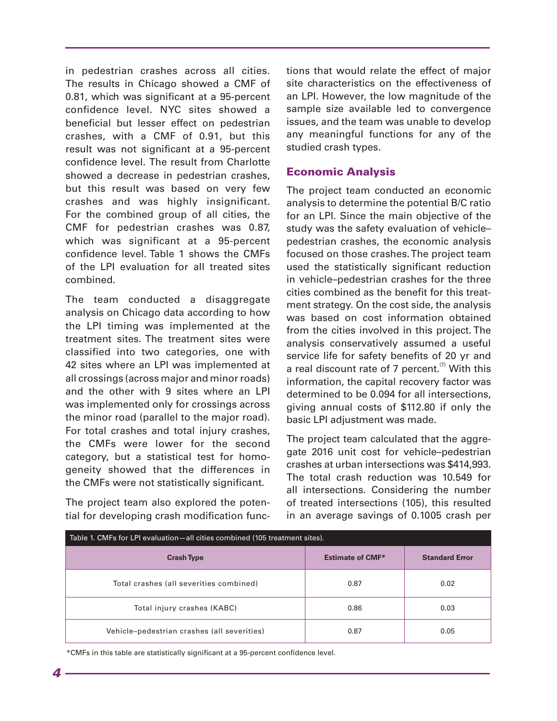in pedestrian crashes across all cities. The results in Chicago showed a CMF of 0.81, which was significant at a 95-percent confidence level. NYC sites showed a beneficial but lesser effect on pedestrian crashes, with a CMF of 0.91, but this result was not significant at a 95-percent confidence level. The result from Charlotte showed a decrease in pedestrian crashes, but this result was based on very few crashes and was highly insignificant. For the combined group of all cities, the CMF for pedestrian crashes was 0.87, which was significant at a 95-percent confidence level. Table 1 shows the CMFs of the LPI evaluation for all treated sites combined.

The team conducted a disaggregate analysis on Chicago data according to how the LPI timing was implemented at the treatment sites. The treatment sites were classified into two categories, one with 42 sites where an LPI was implemented at all crossings (across major and minor roads) and the other with 9 sites where an LPI was implemented only for crossings across the minor road (parallel to the major road). For total crashes and total injury crashes, the CMFs were lower for the second category, but a statistical test for homogeneity showed that the differences in the CMFs were not statistically significant.

The project team also explored the potential for developing crash modification functions that would relate the effect of major site characteristics on the effectiveness of an LPI. However, the low magnitude of the sample size available led to convergence issues, and the team was unable to develop any meaningful functions for any of the studied crash types.

#### Economic Analysis

The project team conducted an economic analysis to determine the potential B/C ratio for an LPI. Since the main objective of the study was the safety evaluation of vehicle– pedestrian crashes, the economic analysis focused on those crashes. The project team used the statistically significant reduction in vehicle–pedestrian crashes for the three cities combined as the benefit for this treatment strategy. On the cost side, the analysis was based on cost information obtained from the cities involved in this project. The analysis conservatively assumed a useful service life for safety benefits of 20 yr and a real discount rate of 7 percent. $\alpha$  With this information, the capital recovery factor was determined to be 0.094 for all intersections, giving annual costs of \$112.80 if only the basic LPI adjustment was made.

The project team calculated that the aggregate 2016 unit cost for vehicle–pedestrian crashes at urban intersections was \$414,993. The total crash reduction was 10.549 for all intersections. Considering the number of treated intersections (105), this resulted in an average savings of 0.1005 crash per

| Table 1. CMFs for LPI evaluation—all cities combined (105 treatment sites). |                         |                       |
|-----------------------------------------------------------------------------|-------------------------|-----------------------|
| <b>Crash Type</b>                                                           | <b>Estimate of CMF*</b> | <b>Standard Error</b> |
| Total crashes (all severities combined)                                     | 0.87                    | 0.02                  |
| Total injury crashes (KABC)                                                 | 0.86                    | 0.03                  |
| Vehicle-pedestrian crashes (all severities)                                 | 0.87                    | 0.05                  |

\*CMFs in this table are statistically significant at a 95-percent confidence level.